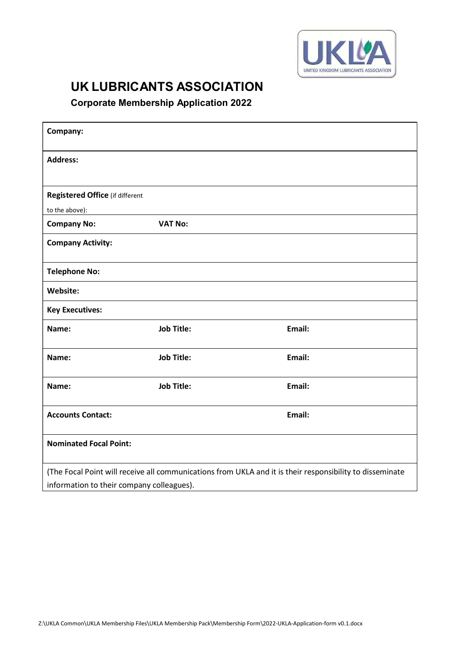

## UK LUBRICANTS ASSOCIATION

Corporate Membership Application 2022

| Company:                                  |                   |                                                                                                          |  |
|-------------------------------------------|-------------------|----------------------------------------------------------------------------------------------------------|--|
| <b>Address:</b>                           |                   |                                                                                                          |  |
|                                           |                   |                                                                                                          |  |
| <b>Registered Office (if different</b>    |                   |                                                                                                          |  |
| to the above):                            |                   |                                                                                                          |  |
| <b>Company No:</b>                        | <b>VAT No:</b>    |                                                                                                          |  |
| <b>Company Activity:</b>                  |                   |                                                                                                          |  |
| <b>Telephone No:</b>                      |                   |                                                                                                          |  |
| Website:                                  |                   |                                                                                                          |  |
| <b>Key Executives:</b>                    |                   |                                                                                                          |  |
| Name:                                     | <b>Job Title:</b> | Email:                                                                                                   |  |
| Name:                                     | <b>Job Title:</b> | Email:                                                                                                   |  |
| Name:                                     | <b>Job Title:</b> | Email:                                                                                                   |  |
| <b>Accounts Contact:</b>                  |                   | Email:                                                                                                   |  |
| <b>Nominated Focal Point:</b>             |                   |                                                                                                          |  |
|                                           |                   | (The Focal Point will receive all communications from UKLA and it is their responsibility to disseminate |  |
| information to their company colleagues). |                   |                                                                                                          |  |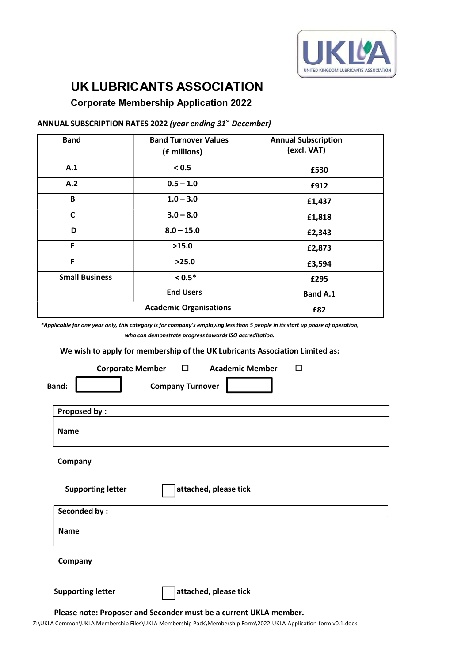

# UK LUBRICANTS ASSOCIATION

### Corporate Membership Application 2022

#### ANNUAL SUBSCRIPTION RATES 2022 (year ending 31<sup>st</sup> December)

| <b>Band</b>           | <b>Band Turnover Values</b><br>(£ millions) | <b>Annual Subscription</b><br>(excl. VAT) |  |
|-----------------------|---------------------------------------------|-------------------------------------------|--|
| A.1                   | < 0.5                                       | £530                                      |  |
| A.2                   | $0.5 - 1.0$                                 | £912                                      |  |
| B                     | $1.0 - 3.0$                                 | £1,437                                    |  |
| $\mathsf{C}$          | $3.0 - 8.0$                                 | £1,818                                    |  |
| D                     | $8.0 - 15.0$                                | £2,343                                    |  |
| E.                    | >15.0                                       | £2,873                                    |  |
| F                     | >25.0                                       | £3,594                                    |  |
| <b>Small Business</b> | $< 0.5*$                                    | £295                                      |  |
|                       | <b>End Users</b>                            | <b>Band A.1</b>                           |  |
|                       | <b>Academic Organisations</b>               | £82                                       |  |

\*Applicable for one year only, this category is for company's employing less than 5 people in its start up phase of operation, who can demonstrate progress towards ISO accreditation.

We wish to apply for membership of the UK Lubricants Association Limited as:

|                                         | Corporate Member □ Academic Member |                       | п |  |
|-----------------------------------------|------------------------------------|-----------------------|---|--|
| <b>Band:</b><br><b>Company Turnover</b> |                                    |                       |   |  |
| <b>Proposed by:</b>                     |                                    |                       |   |  |
| <b>Name</b>                             |                                    |                       |   |  |
| Company                                 |                                    |                       |   |  |
|                                         | <b>Supporting letter</b>           | attached, please tick |   |  |
| <b>Seconded by:</b>                     |                                    |                       |   |  |
| <b>Name</b>                             |                                    |                       |   |  |
| Company                                 |                                    |                       |   |  |
| <b>Supporting letter</b>                |                                    | attached, please tick |   |  |

Please note: Proposer and Seconder must be a current UKLA member.

Z:\UKLA Common\UKLA Membership Files\UKLA Membership Pack\Membership Form\2022-UKLA-Application-form v0.1.docx